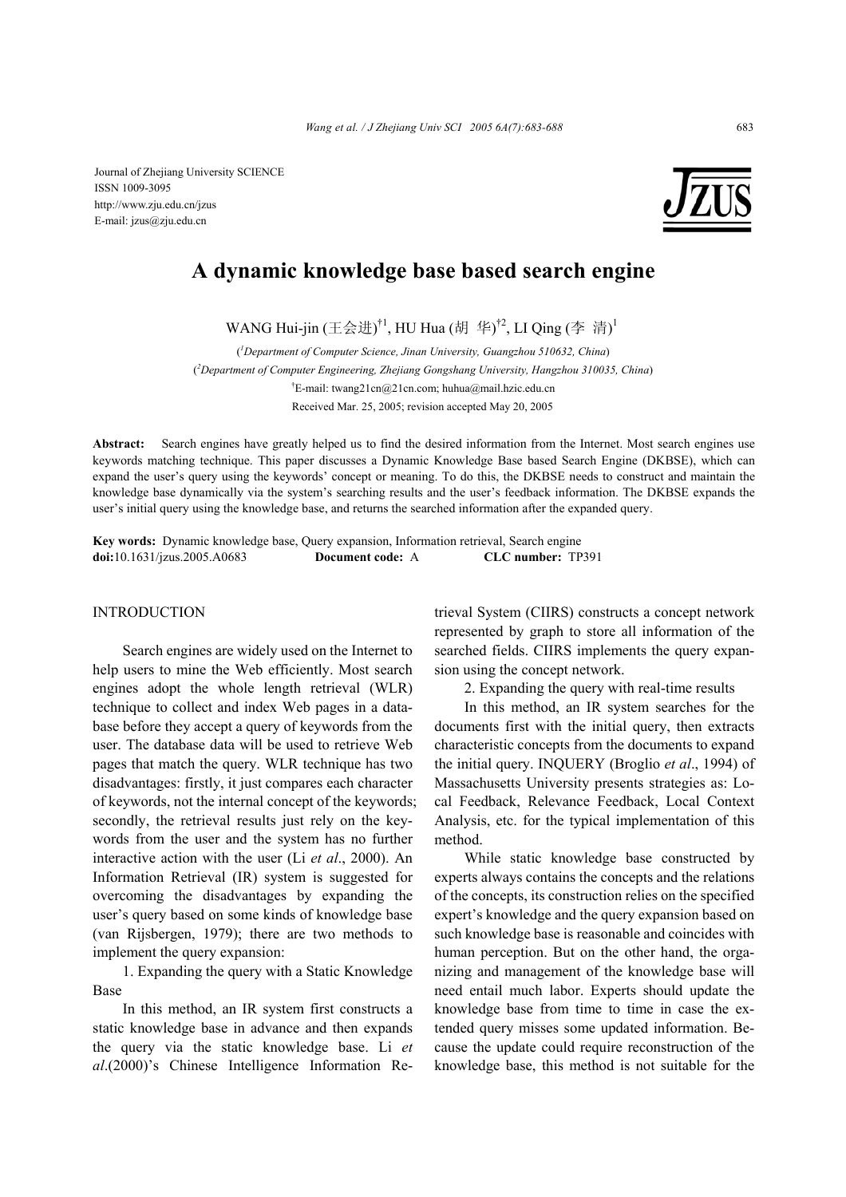Journal of Zhejiang University SCIENCE ISSN 1009-3095 http://www.zju.edu.cn/jzus E-mail: jzus@zju.edu.cn



# **A dynamic knowledge base based search engine**

WANG Hui-jin (王会进) $^{\dagger1}$ , HU Hua (胡 华) $^{\dagger2}$ , LI Qing (李 清) $^{\dagger}$ 

( *1 Department of Computer Science, Jinan University, Guangzhou 510632, China*) ( *2 Department of Computer Engineering, Zhejiang Gongshang University, Hangzhou 310035, China*) † E-mail: twang21cn@21cn.com; huhua@mail.hzic.edu.cn Received Mar. 25, 2005; revision accepted May 20, 2005

**Abstract:** Search engines have greatly helped us to find the desired information from the Internet. Most search engines use keywords matching technique. This paper discusses a Dynamic Knowledge Base based Search Engine (DKBSE), which can expand the user's query using the keywords' concept or meaning. To do this, the DKBSE needs to construct and maintain the knowledge base dynamically via the system's searching results and the user's feedback information. The DKBSE expands the user's initial query using the knowledge base, and returns the searched information after the expanded query.

**Key words:** Dynamic knowledge base, Query expansion, Information retrieval, Search engine **doi:**10.1631/jzus.2005.A0683 **Document code:** A **CLC number:** TP391

## **INTRODUCTION**

Search engines are widely used on the Internet to help users to mine the Web efficiently. Most search engines adopt the whole length retrieval (WLR) technique to collect and index Web pages in a database before they accept a query of keywords from the user. The database data will be used to retrieve Web pages that match the query. WLR technique has two disadvantages: firstly, it just compares each character of keywords, not the internal concept of the keywords; secondly, the retrieval results just rely on the keywords from the user and the system has no further interactive action with the user (Li *et al*., 2000). An Information Retrieval (IR) system is suggested for overcoming the disadvantages by expanding the user's query based on some kinds of knowledge base (van Rijsbergen, 1979); there are two methods to implement the query expansion:

1. Expanding the query with a Static Knowledge Base

In this method, an IR system first constructs a static knowledge base in advance and then expands the query via the static knowledge base. Li *et al*.(2000)'s Chinese Intelligence Information Retrieval System (CIIRS) constructs a concept network represented by graph to store all information of the searched fields. CIIRS implements the query expansion using the concept network.

2. Expanding the query with real-time results

In this method, an IR system searches for the documents first with the initial query, then extracts characteristic concepts from the documents to expand the initial query. INQUERY (Broglio *et al*., 1994) of Massachusetts University presents strategies as: Local Feedback, Relevance Feedback, Local Context Analysis, etc. for the typical implementation of this method.

While static knowledge base constructed by experts always contains the concepts and the relations of the concepts, its construction relies on the specified expert's knowledge and the query expansion based on such knowledge base is reasonable and coincides with human perception. But on the other hand, the organizing and management of the knowledge base will need entail much labor. Experts should update the knowledge base from time to time in case the extended query misses some updated information. Because the update could require reconstruction of the knowledge base, this method is not suitable for the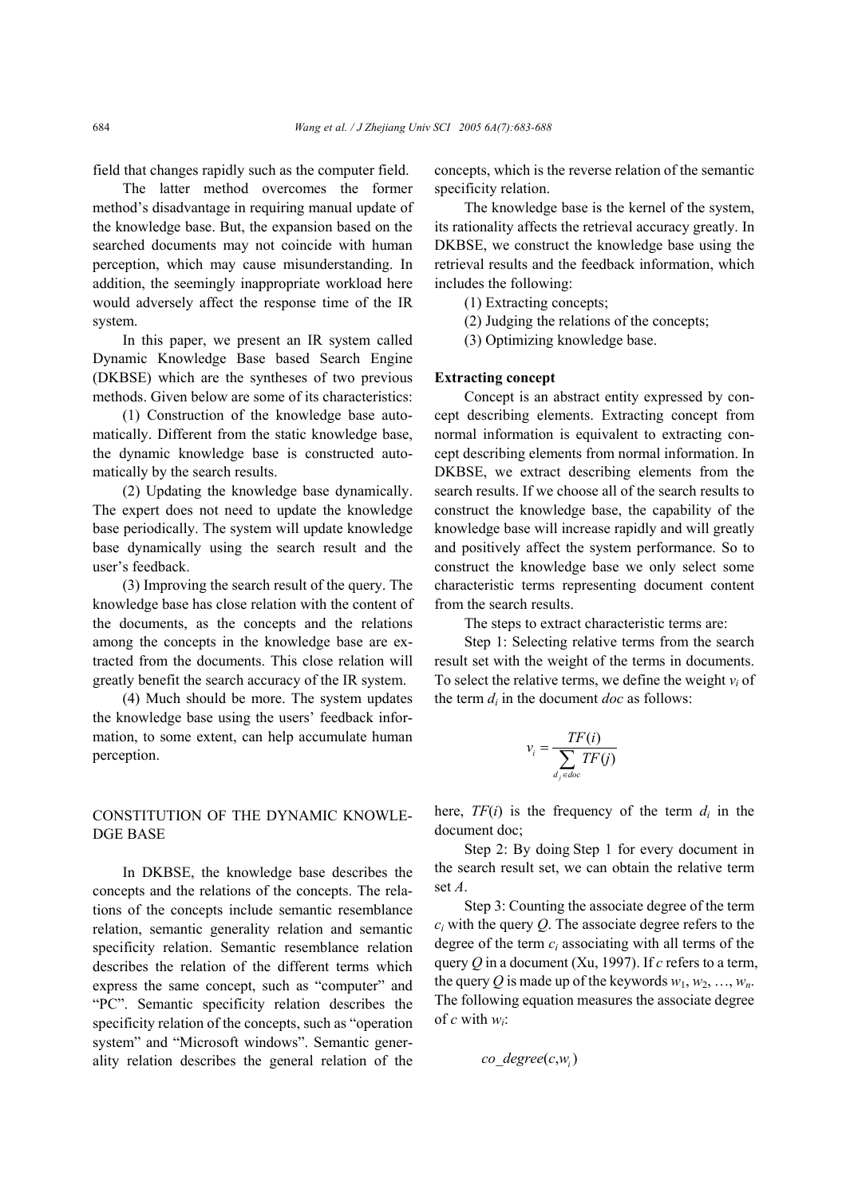field that changes rapidly such as the computer field.

The latter method overcomes the former method's disadvantage in requiring manual update of the knowledge base. But, the expansion based on the searched documents may not coincide with human perception, which may cause misunderstanding. In addition, the seemingly inappropriate workload here would adversely affect the response time of the IR system.

In this paper, we present an IR system called Dynamic Knowledge Base based Search Engine (DKBSE) which are the syntheses of two previous methods. Given below are some of its characteristics:

(1) Construction of the knowledge base automatically. Different from the static knowledge base, the dynamic knowledge base is constructed automatically by the search results.

(2) Updating the knowledge base dynamically. The expert does not need to update the knowledge base periodically. The system will update knowledge base dynamically using the search result and the user's feedback.

(3) Improving the search result of the query. The knowledge base has close relation with the content of the documents, as the concepts and the relations among the concepts in the knowledge base are extracted from the documents. This close relation will greatly benefit the search accuracy of the IR system.

(4) Much should be more. The system updates the knowledge base using the users' feedback information, to some extent, can help accumulate human perception.

## CONSTITUTION OF THE DYNAMIC KNOWLE-DGE BASE

In DKBSE, the knowledge base describes the concepts and the relations of the concepts. The relations of the concepts include semantic resemblance relation, semantic generality relation and semantic specificity relation. Semantic resemblance relation describes the relation of the different terms which express the same concept, such as "computer" and "PC". Semantic specificity relation describes the specificity relation of the concepts, such as "operation system" and "Microsoft windows". Semantic generality relation describes the general relation of the concepts, which is the reverse relation of the semantic specificity relation.

The knowledge base is the kernel of the system, its rationality affects the retrieval accuracy greatly. In DKBSE, we construct the knowledge base using the retrieval results and the feedback information, which includes the following:

(1) Extracting concepts;

(2) Judging the relations of the concepts;

(3) Optimizing knowledge base.

#### **Extracting concept**

Concept is an abstract entity expressed by concept describing elements. Extracting concept from normal information is equivalent to extracting concept describing elements from normal information. In DKBSE, we extract describing elements from the search results. If we choose all of the search results to construct the knowledge base, the capability of the knowledge base will increase rapidly and will greatly and positively affect the system performance. So to construct the knowledge base we only select some characteristic terms representing document content from the search results.

The steps to extract characteristic terms are:

Step 1: Selecting relative terms from the search result set with the weight of the terms in documents. To select the relative terms, we define the weight  $v_i$  of the term  $d_i$  in the document *doc* as follows:

$$
v_i = \frac{TF(i)}{\sum_{d_j \in doc} TF(j)}
$$

here,  $TF(i)$  is the frequency of the term  $d_i$  in the document doc;

Step 2: By doing Step 1 for every document in the search result set, we can obtain the relative term set *A*.

Step 3: Counting the associate degree of the term *ci* with the query *Q*. The associate degree refers to the degree of the term *ci* associating with all terms of the query *Q* in a document (Xu, 1997). If *c* refers to a term, the query *Q* is made up of the keywords  $w_1, w_2, ..., w_n$ . The following equation measures the associate degree of *c* with *wi*:

 $co \ degree(c, w_i)$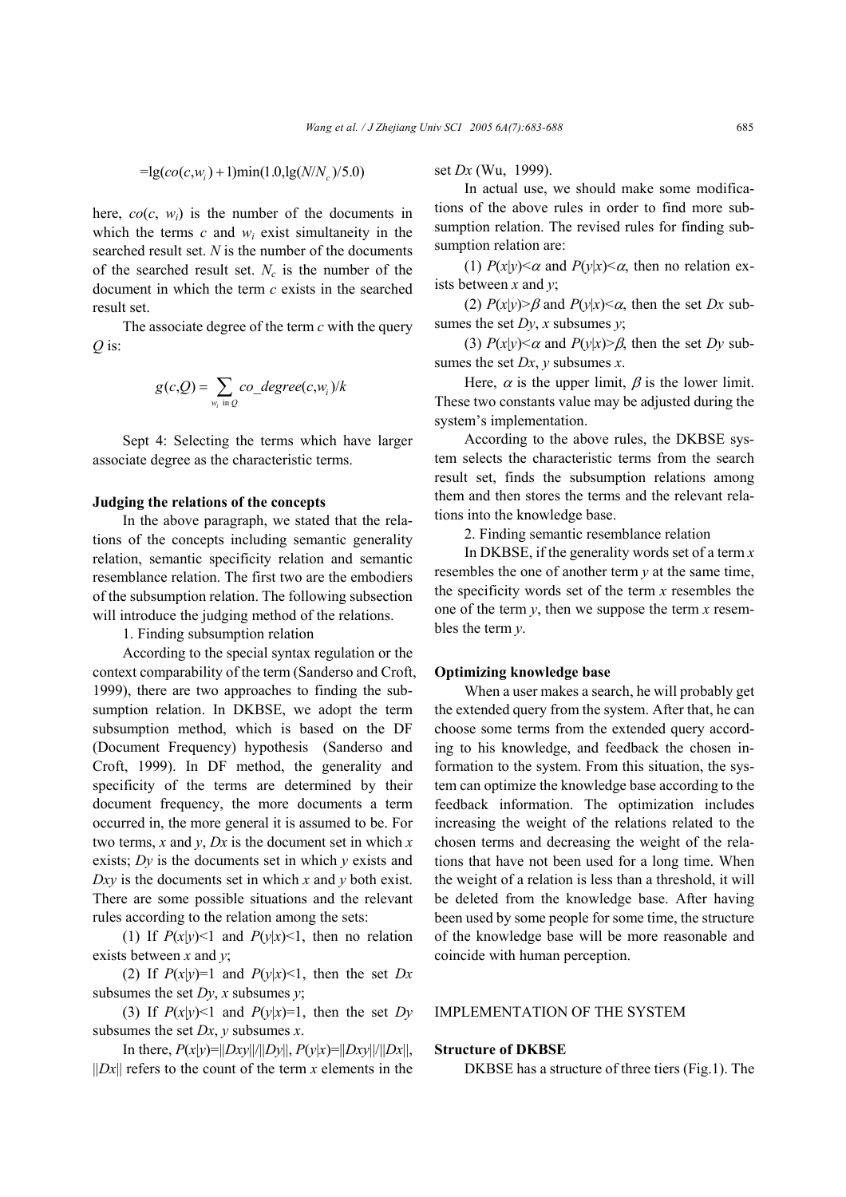$$
=lg(co(c,w_i)+1)min(1.0,lg(N/N_c)/5.0)
$$

here,  $co(c, w_i)$  is the number of the documents in which the terms  $c$  and  $w_i$  exist simultaneity in the searched result set. *N* is the number of the documents of the searched result set.  $N_c$  is the number of the document in which the term *c* exists in the searched result set.

The associate degree of the term *c* with the query *Q* is:

$$
g(c,Q) = \sum_{w_i \text{ in } Q} co\_degree(c,w_i)/k
$$

Sept 4: Selecting the terms which have larger associate degree as the characteristic terms.

#### **Judging the relations of the concepts**

In the above paragraph, we stated that the relations of the concepts including semantic generality relation, semantic specificity relation and semantic resemblance relation. The first two are the embodiers of the subsumption relation. The following subsection will introduce the judging method of the relations.

1. Finding subsumption relation

According to the special syntax regulation or the context comparability of the term (Sanderso and Croft, 1999), there are two approaches to finding the subsumption relation. In DKBSE, we adopt the term subsumption method, which is based on the DF (Document Frequency) hypothesis (Sanderso and Croft, 1999). In DF method, the generality and specificity of the terms are determined by their document frequency, the more documents a term occurred in, the more general it is assumed to be. For two terms, *x* and *y*, *Dx* is the document set in which *x* exists; *Dy* is the documents set in which *y* exists and *Dxy* is the documents set in which *x* and *y* both exist. There are some possible situations and the relevant rules according to the relation among the sets:

(1) If  $P(x|y)$ <1 and  $P(y|x)$  <1, then no relation exists between *x* and *y*;

(2) If  $P(x|y)=1$  and  $P(y|x) \le 1$ , then the set *Dx* subsumes the set  $Dy$ , *x* subsumes *y*;

(3) If  $P(x|y) < 1$  and  $P(y|x) = 1$ , then the set *Dy* subsumes the set *Dx*, *y* subsumes *x*.

In there,  $P(x|y)=||Dxy||/||Dy||, P(y|x)=||Dxy|/||Dx||,$  $||Dx||$  refers to the count of the term x elements in the set *Dx* (Wu, 1999).

In actual use, we should make some modifications of the above rules in order to find more subsumption relation. The revised rules for finding subsumption relation are:

(1)  $P(x|y) \leq \alpha$  and  $P(y|x) \leq \alpha$ , then no relation exists between *x* and *y*;

(2)  $P(x|y) > \beta$  and  $P(y|x) < \alpha$ , then the set *Dx* subsumes the set  $Dy$ , *x* subsumes *y*;

(3)  $P(x|y) \leq \alpha$  and  $P(y|x) \geq \beta$ , then the set *Dy* subsumes the set *Dx*, *y* subsumes *x*.

Here,  $\alpha$  is the upper limit,  $\beta$  is the lower limit. These two constants value may be adjusted during the system's implementation.

According to the above rules, the DKBSE system selects the characteristic terms from the search result set, finds the subsumption relations among them and then stores the terms and the relevant relations into the knowledge base.

2. Finding semantic resemblance relation

In DKBSE, if the generality words set of a term *x* resembles the one of another term *y* at the same time, the specificity words set of the term *x* resembles the one of the term *y*, then we suppose the term *x* resembles the term *y*.

#### **Optimizing knowledge base**

When a user makes a search, he will probably get the extended query from the system. After that, he can choose some terms from the extended query according to his knowledge, and feedback the chosen information to the system. From this situation, the system can optimize the knowledge base according to the feedback information. The optimization includes increasing the weight of the relations related to the chosen terms and decreasing the weight of the relations that have not been used for a long time. When the weight of a relation is less than a threshold, it will be deleted from the knowledge base. After having been used by some people for some time, the structure of the knowledge base will be more reasonable and coincide with human perception.

## IMPLEMENTATION OF THE SYSTEM

### **Structure of DKBSE**

DKBSE has a structure of three tiers (Fig.1). The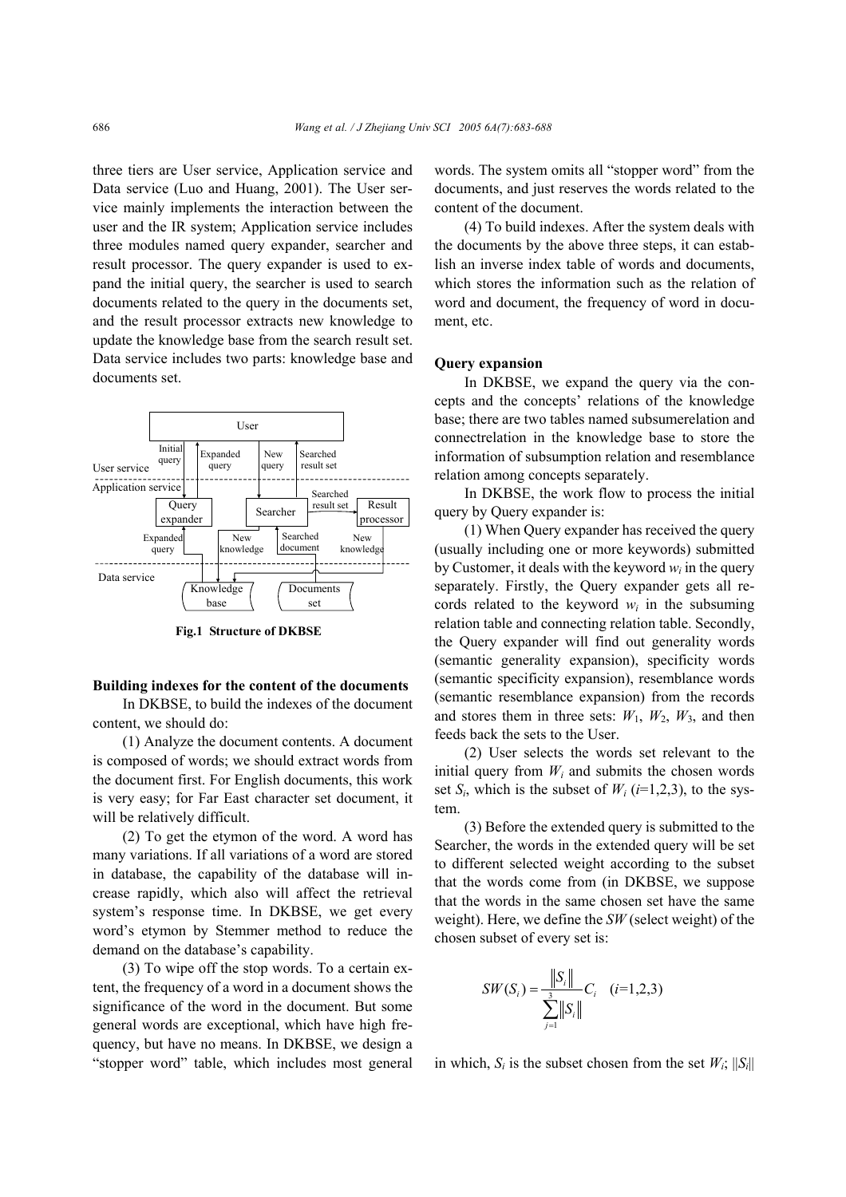three tiers are User service, Application service and Data service (Luo and Huang, 2001). The User service mainly implements the interaction between the user and the IR system; Application service includes three modules named query expander, searcher and result processor. The query expander is used to expand the initial query, the searcher is used to search documents related to the query in the documents set, and the result processor extracts new knowledge to update the knowledge base from the search result set. Data service includes two parts: knowledge base and documents set.



**Fig.1 Structure of DKBSE** 

#### **Building indexes for the content of the documents**

In DKBSE, to build the indexes of the document content, we should do:

(1) Analyze the document contents. A document is composed of words; we should extract words from the document first. For English documents, this work is very easy; for Far East character set document, it will be relatively difficult.

(2) To get the etymon of the word. A word has many variations. If all variations of a word are stored in database, the capability of the database will increase rapidly, which also will affect the retrieval system's response time. In DKBSE, we get every word's etymon by Stemmer method to reduce the demand on the database's capability.

(3) To wipe off the stop words. To a certain extent, the frequency of a word in a document shows the significance of the word in the document. But some general words are exceptional, which have high frequency, but have no means. In DKBSE, we design a "stopper word" table, which includes most general words. The system omits all "stopper word" from the documents, and just reserves the words related to the content of the document.

(4) To build indexes. After the system deals with the documents by the above three steps, it can establish an inverse index table of words and documents, which stores the information such as the relation of word and document, the frequency of word in document, etc.

## **Query expansion**

In DKBSE, we expand the query via the concepts and the concepts' relations of the knowledge base; there are two tables named subsumerelation and connectrelation in the knowledge base to store the information of subsumption relation and resemblance relation among concepts separately.

In DKBSE, the work flow to process the initial query by Query expander is:

(1) When Query expander has received the query (usually including one or more keywords) submitted by Customer, it deals with the keyword  $w_i$  in the query separately. Firstly, the Query expander gets all records related to the keyword  $w_i$  in the subsuming relation table and connecting relation table. Secondly, the Query expander will find out generality words (semantic generality expansion), specificity words (semantic specificity expansion), resemblance words (semantic resemblance expansion) from the records and stores them in three sets:  $W_1$ ,  $W_2$ ,  $W_3$ , and then feeds back the sets to the User.

(2) User selects the words set relevant to the initial query from  $W_i$  and submits the chosen words set  $S_i$ , which is the subset of  $W_i$  ( $i=1,2,3$ ), to the system.

(3) Before the extended query is submitted to the Searcher, the words in the extended query will be set to different selected weight according to the subset that the words come from (in DKBSE, we suppose that the words in the same chosen set have the same weight). Here, we define the *SW* (select weight) of the chosen subset of every set is:

$$
SW(S_i) = \frac{\|S_i\|}{\sum_{j=1}^{3} \|S_i\|} C_i \quad (i=1,2,3)
$$

in which,  $S_i$  is the subset chosen from the set  $W_i$ ;  $||S_i||$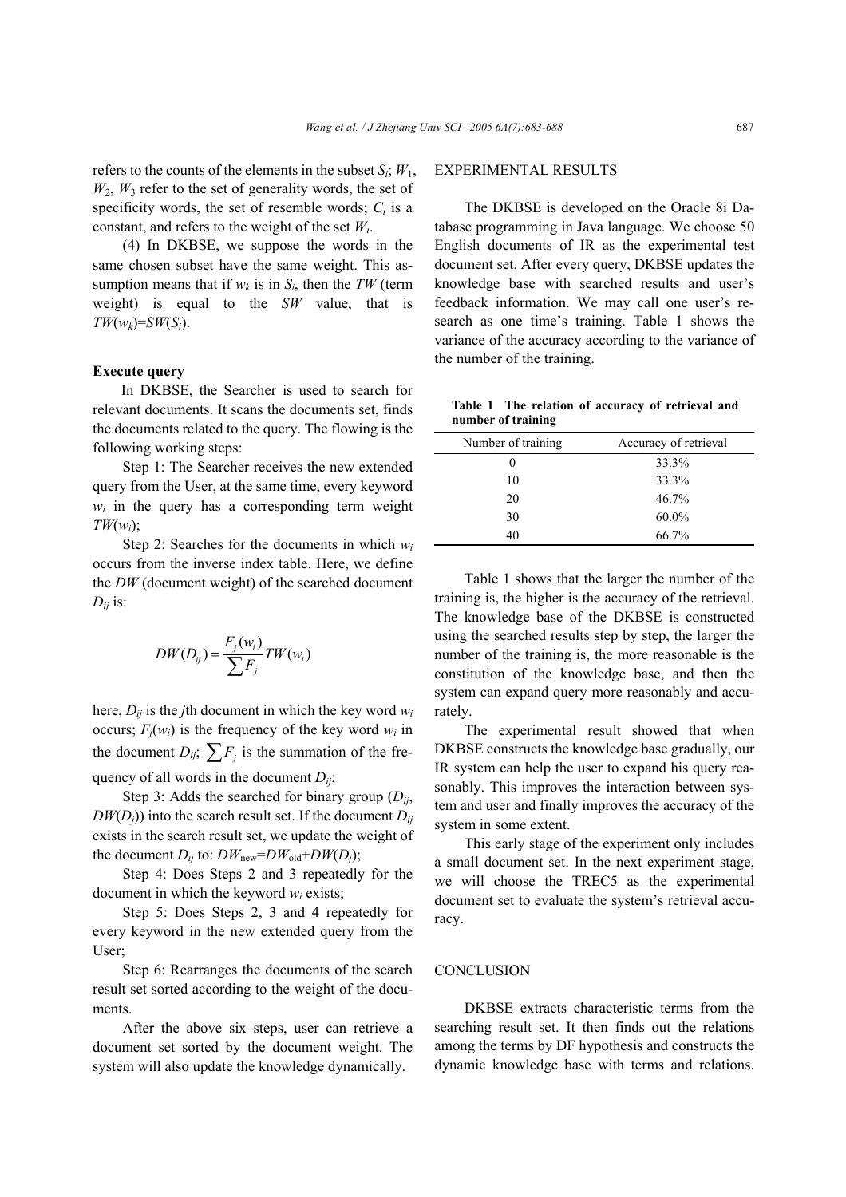refers to the counts of the elements in the subset  $S_i$ ;  $W_1$ ,  $W_2$ ,  $W_3$  refer to the set of generality words, the set of specificity words, the set of resemble words;  $C_i$  is a constant, and refers to the weight of the set *Wi*.

(4) In DKBSE, we suppose the words in the same chosen subset have the same weight. This assumption means that if  $w_k$  is in  $S_i$ , then the TW (term weight) is equal to the *SW* value, that is  $TW(w_k) = SW(S_i)$ .

## **Execute query**

In DKBSE, the Searcher is used to search for relevant documents. It scans the documents set, finds the documents related to the query. The flowing is the following working steps:

Step 1: The Searcher receives the new extended query from the User, at the same time, every keyword  $w_i$  in the query has a corresponding term weight *TW*(*wi*);

Step 2: Searches for the documents in which  $w_i$ occurs from the inverse index table. Here, we define the *DW* (document weight) of the searched document  $D_{ii}$  is:

$$
DW(D_{ij}) = \frac{F_j(w_i)}{\sum F_j} TW(w_i)
$$

here,  $D_{ij}$  is the *j*th document in which the key word  $w_i$ occurs;  $F_i(w_i)$  is the frequency of the key word  $w_i$  in the document  $D_{ij}$ ;  $\sum F_i$  is the summation of the frequency of all words in the document *Dij*;

Step 3: Adds the searched for binary group (*Dij*,  $DW(D_i)$  into the search result set. If the document  $D_{ii}$ exists in the search result set, we update the weight of the document  $D_{ij}$  to:  $DW_{\text{new}} = DW_{\text{old}} + DW(D_i);$ 

Step 4: Does Steps 2 and 3 repeatedly for the document in which the keyword *wi* exists;

Step 5: Does Steps 2, 3 and 4 repeatedly for every keyword in the new extended query from the User;

Step 6: Rearranges the documents of the search result set sorted according to the weight of the documents.

After the above six steps, user can retrieve a document set sorted by the document weight. The system will also update the knowledge dynamically.

## EXPERIMENTAL RESULTS

The DKBSE is developed on the Oracle 8i Database programming in Java language. We choose 50 English documents of IR as the experimental test document set. After every query, DKBSE updates the knowledge base with searched results and user's feedback information. We may call one user's research as one time's training. Table 1 shows the variance of the accuracy according to the variance of the number of the training.

|                    | Table 1 The relation of accuracy of retrieval and |  |  |
|--------------------|---------------------------------------------------|--|--|
| number of training |                                                   |  |  |

| Number of training | Accuracy of retrieval |  |
|--------------------|-----------------------|--|
|                    | 33.3%                 |  |
| 10                 | 33.3%                 |  |
| 20                 | 46.7%                 |  |
| 30                 | 60.0%                 |  |
| 40                 | 66.7%                 |  |

Table 1 shows that the larger the number of the training is, the higher is the accuracy of the retrieval. The knowledge base of the DKBSE is constructed using the searched results step by step, the larger the number of the training is, the more reasonable is the constitution of the knowledge base, and then the system can expand query more reasonably and accurately.

The experimental result showed that when DKBSE constructs the knowledge base gradually, our IR system can help the user to expand his query reasonably. This improves the interaction between system and user and finally improves the accuracy of the system in some extent.

This early stage of the experiment only includes a small document set. In the next experiment stage, we will choose the TREC5 as the experimental document set to evaluate the system's retrieval accuracy.

## **CONCLUSION**

DKBSE extracts characteristic terms from the searching result set. It then finds out the relations among the terms by DF hypothesis and constructs the dynamic knowledge base with terms and relations.